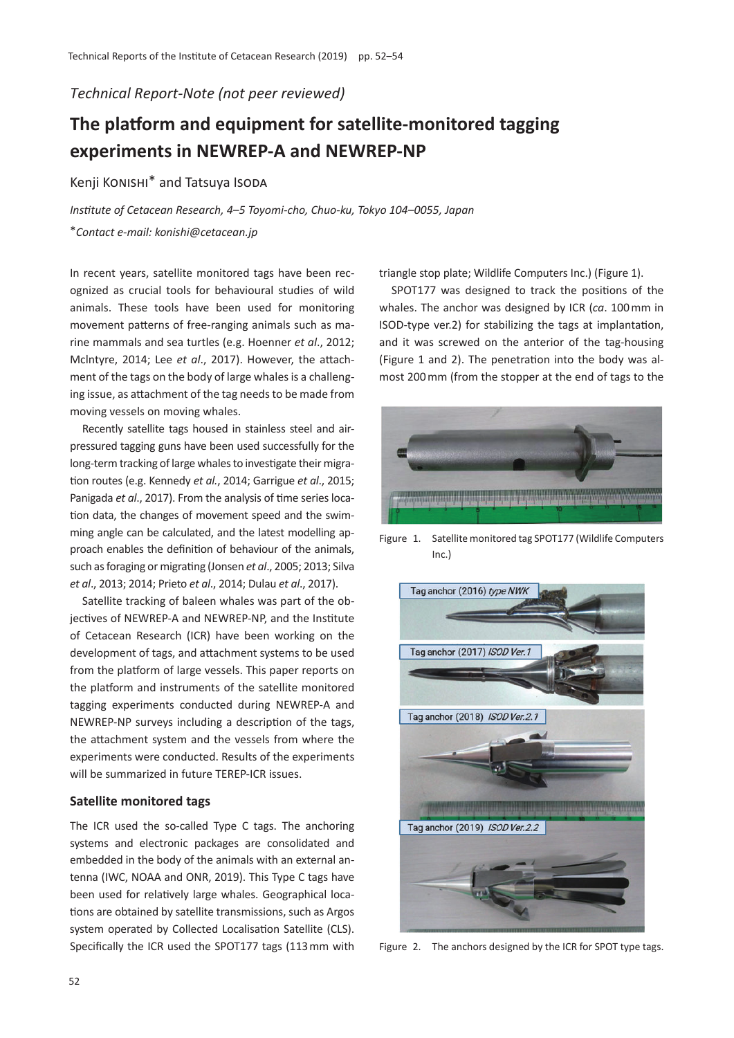## *Technical Report-Note (not peer reviewed)*

# **The platform and equipment for satellite-monitored tagging experiments in NEWREP-A and NEWREP-NP**

# Kenji Konishi\* and Tatsuya Isoda

*Institute of Cetacean Research, 4*–*5 Toyomi-cho, Chuo-ku, Tokyo 104*–*0055, Japan* \**Contact e-mail: konishi@cetacean.jp*

In recent years, satellite monitored tags have been recognized as crucial tools for behavioural studies of wild animals. These tools have been used for monitoring movement patterns of free-ranging animals such as marine mammals and sea turtles (e.g. Hoenner *et al*., 2012; Mclntyre, 2014; Lee *et al*., 2017). However, the attachment of the tags on the body of large whales is a challenging issue, as attachment of the tag needs to be made from moving vessels on moving whales.

Recently satellite tags housed in stainless steel and airpressured tagging guns have been used successfully for the long-term tracking of large whales to investigate their migration routes (e.g. Kennedy *et al.*, 2014; Garrigue *et al*., 2015; Panigada *et al*., 2017). From the analysis of time series location data, the changes of movement speed and the swimming angle can be calculated, and the latest modelling approach enables the definition of behaviour of the animals, such as foraging or migrating (Jonsen *et al*., 2005; 2013; Silva *et al*., 2013; 2014; Prieto *et al*., 2014; Dulau *et al*., 2017).

Satellite tracking of baleen whales was part of the objectives of NEWREP-A and NEWREP-NP, and the Institute of Cetacean Research (ICR) have been working on the development of tags, and attachment systems to be used from the platform of large vessels. This paper reports on the platform and instruments of the satellite monitored tagging experiments conducted during NEWREP-A and NEWREP-NP surveys including a description of the tags, the attachment system and the vessels from where the experiments were conducted. Results of the experiments will be summarized in future TEREP-ICR issues.

### **Satellite monitored tags**

The ICR used the so-called Type C tags. The anchoring systems and electronic packages are consolidated and embedded in the body of the animals with an external antenna (IWC, NOAA and ONR, 2019). This Type C tags have been used for relatively large whales. Geographical locations are obtained by satellite transmissions, such as Argos system operated by Collected Localisation Satellite (CLS). Specifically the ICR used the SPOT177 tags (113 mm with triangle stop plate; Wildlife Computers Inc.) (Figure 1).

SPOT177 was designed to track the positions of the whales. The anchor was designed by ICR (*ca*. 100 mm in ISOD-type ver.2) for stabilizing the tags at implantation, and it was screwed on the anterior of the tag-housing (Figure 1 and 2). The penetration into the body was almost 200 mm (from the stopper at the end of tags to the



Figure 1. Satellite monitored tag SPOT177 (Wildlife Computers Inc.)



Figure 2. The anchors designed by the ICR for SPOT type tags.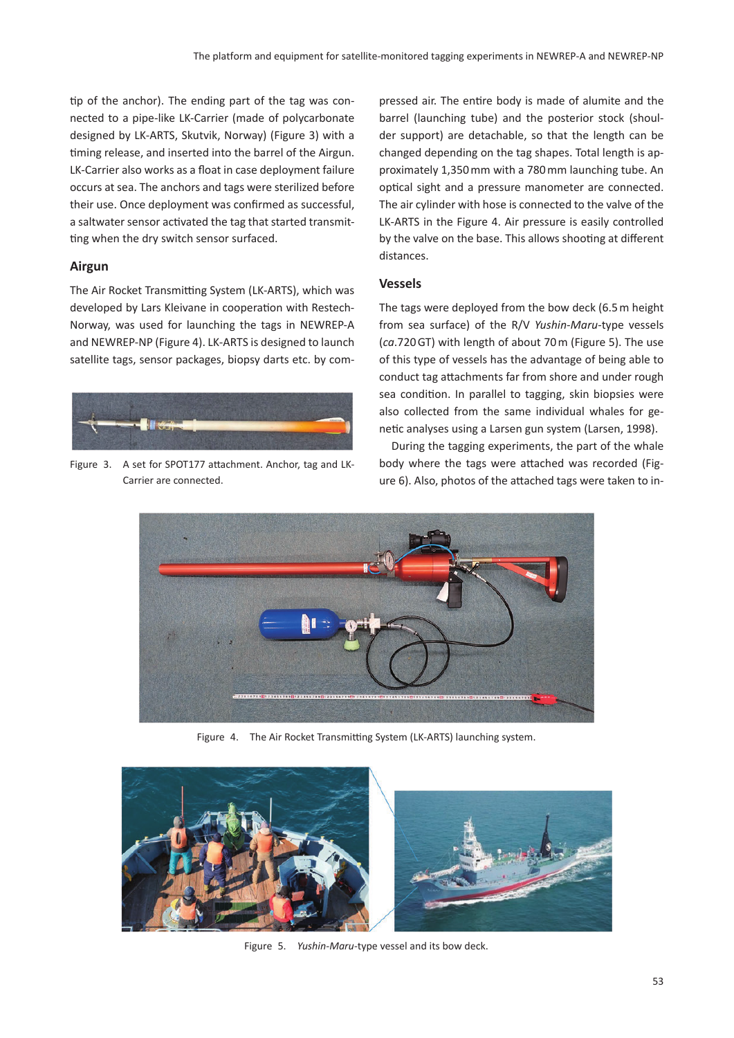tip of the anchor). The ending part of the tag was connected to a pipe-like LK-Carrier (made of polycarbonate designed by LK-ARTS, Skutvik, Norway) (Figure 3) with a timing release, and inserted into the barrel of the Airgun. LK-Carrier also works as a float in case deployment failure occurs at sea. The anchors and tags were sterilized before their use. Once deployment was confirmed as successful, a saltwater sensor activated the tag that started transmitting when the dry switch sensor surfaced.

## **Airgun**

The Air Rocket Transmitting System (LK-ARTS), which was developed by Lars Kleivane in cooperation with Restech-Norway, was used for launching the tags in NEWREP-A and NEWREP-NP (Figure 4). LK-ARTS is designed to launch satellite tags, sensor packages, biopsy darts etc. by com-



Figure 3. A set for SPOT177 attachment. Anchor, tag and LK-Carrier are connected.

pressed air. The entire body is made of alumite and the barrel (launching tube) and the posterior stock (shoulder support) are detachable, so that the length can be changed depending on the tag shapes. Total length is approximately 1,350 mm with a 780 mm launching tube. An optical sight and a pressure manometer are connected. The air cylinder with hose is connected to the valve of the LK-ARTS in the Figure 4. Air pressure is easily controlled by the valve on the base. This allows shooting at different distances.

## **Vessels**

The tags were deployed from the bow deck (6.5 m height from sea surface) of the R/V *Yushin-Maru*-type vessels (*ca*.720 GT) with length of about 70 m (Figure 5). The use of this type of vessels has the advantage of being able to conduct tag attachments far from shore and under rough sea condition. In parallel to tagging, skin biopsies were also collected from the same individual whales for genetic analyses using a Larsen gun system (Larsen, 1998).

During the tagging experiments, the part of the whale body where the tags were attached was recorded (Figure 6). Also, photos of the attached tags were taken to in-



Figure 4. The Air Rocket Transmitting System (LK-ARTS) launching system.



Figure 5. *Yushin-Maru*-type vessel and its bow deck.